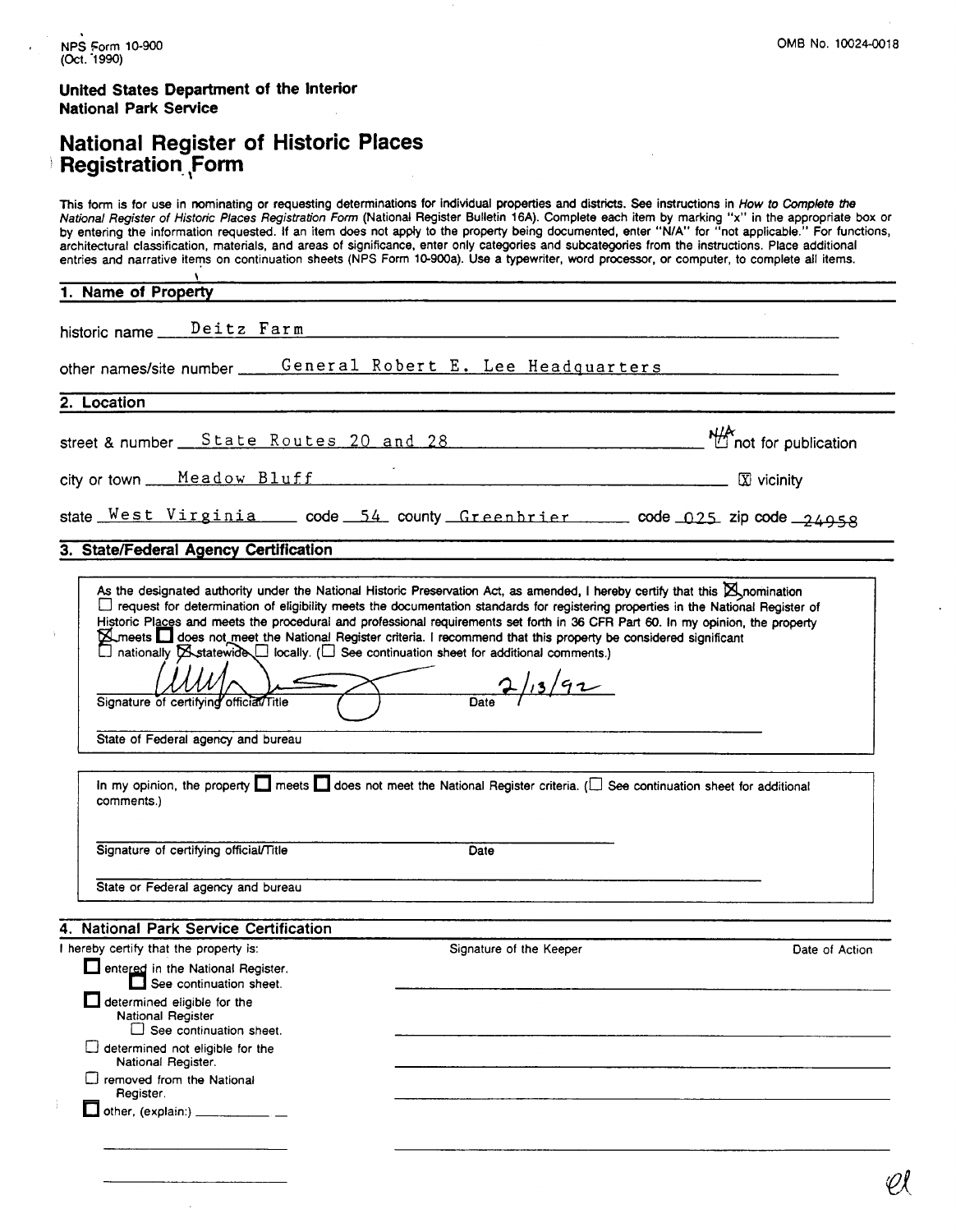## **United States Department of the Interior National Park Service**

## **National Register of Historic Places Registration ,Form**

This form is for use in nominating or requesting determinations for individual properties and districts. See instructions in How to Complete *the*  National Register of Historic P/aces Registration **Fomr** (National Register Bulletin **16A).** Complete each item by marking **"x"** in the appropriate box or by entering the information requested. If an item does not apply to the property being documented, enter "N/A" for "not applicable." For functions, architectural classification, materials, and areas of significance, enter only categories and subcategories from the instructions. Place additional entries and narrative iterns on continuation sheets (NPS Form 10-900a). Use a typewriter, word processor, or computer, to complete all items. \ **1. Name of Property**  historic name Deitz Farm other nameslsite number General Robert E. Lee Headquarters 2. **Location**  street & number State Routes 20 and 28<br>city or town Meadow Bluff<br>state West Virginia code 54 county Greenbrier code 025 zip code 24958<br>3 State/Federal Agency Certification street & number  $\frac{\text{State}}{\text{Note: } \text{Routers}}$  20 and 28  $\frac{\text{Mean}}{\text{R}}$  and  $\frac{\text{Mean}}{\text{R}}$  not for publication city or town Meadow Bluff **Election** Electric Electronic Electronic Electronic Electronic Electronic Electronic Electronic Electronic Electronic Electronic Electronic Electronic Electronic Electronic Electronic Electronic **3. State/Federal Agency Certification** As the designated authority under the National Historic Preservation Act, as amended, I hereby certify that this @nomination 0 request for determination of eligibility meets the documentation standards for registering properties in the National Register of Historic Places and meets the procedural **and** professional requirements set forth in 36 **CFR** Part 60. In my opinion, the property **Examples does not meet the National Register criteria. I recommend that this property be considered significant**  $\Box$  nationally  $\boxtimes$  statewide  $\Box$  locally. ( $\Box$  See continuation sheet for additional comments.) Signature of certifying official Title Date 2/13/92 State of Federal agency and bureau In my opinion, the property  $\square$  meets  $\square$  does not meet the National Register criteria. ( $\square$  See continuation sheet for additional comments.) Signature of certifying official/Title Date State or Federal agency and bureau **4. National Park Service Certification**  I hereby certify that the property is: Signature of the Keeper Date of Action **entered in the National Register.** See continuation sheet. determined eligible for the National Register  $\Box$  See continuation sheet. C] determined not eligible for the National Register. C] removed from the National Register.  $\Box$  other, (explain:)  $\_\_\_\_\_\_\_\_\$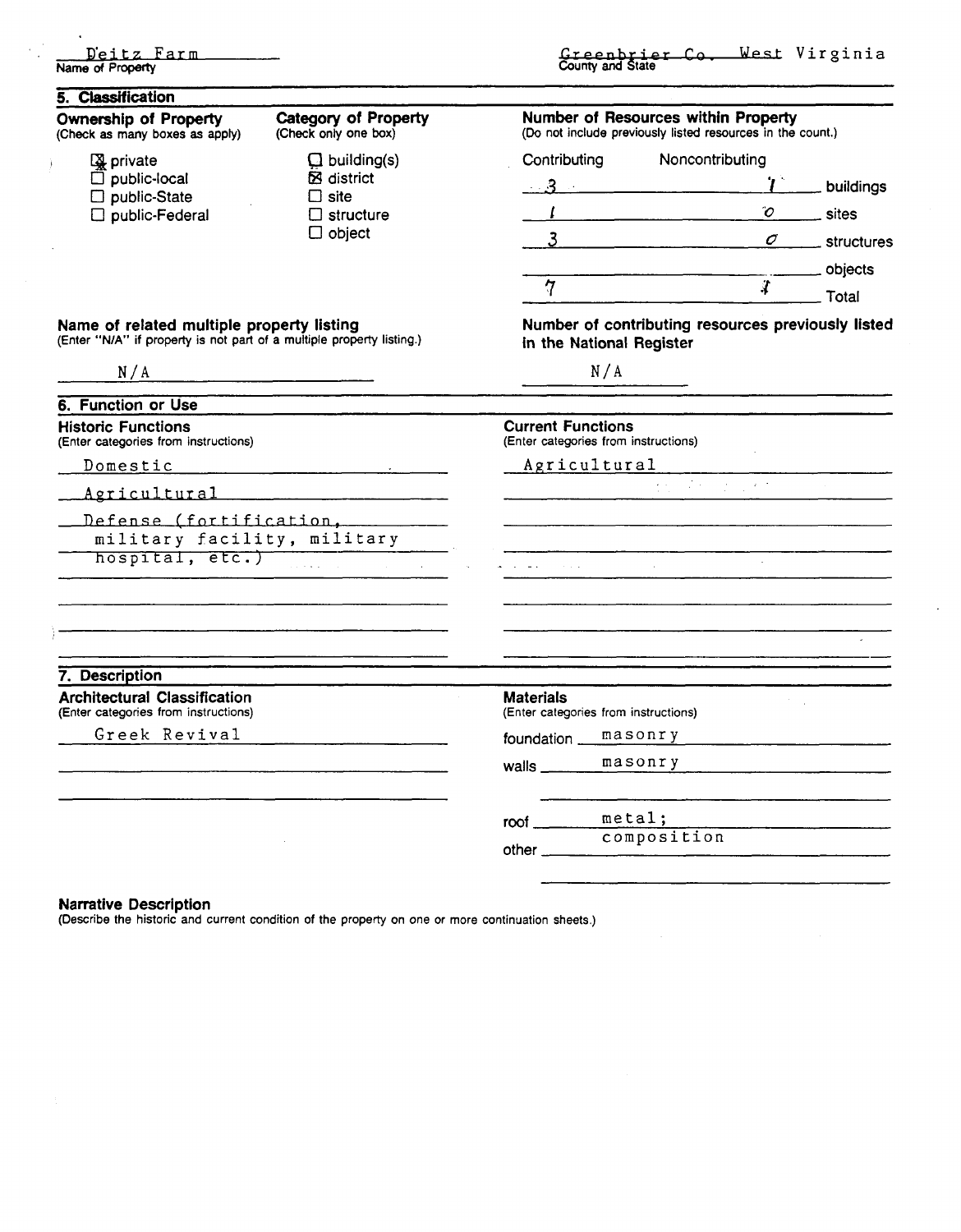|                  | Deitz Farm |  |
|------------------|------------|--|
| Name of Property |            |  |

 $\frac{1}{2}$ 

 $\sim$ 

 $\ddot{\phantom{1}}$ 

| 5. Classification                                                                                                                |                                                                                      |                                       |                                                                                                                                                                                                                                                      |                           |  |
|----------------------------------------------------------------------------------------------------------------------------------|--------------------------------------------------------------------------------------|---------------------------------------|------------------------------------------------------------------------------------------------------------------------------------------------------------------------------------------------------------------------------------------------------|---------------------------|--|
| <b>Ownership of Property</b><br>(Check as many boxes as apply)                                                                   | <b>Category of Property</b><br>(Check only one box)                                  |                                       | Number of Resources within Property<br>(Do not include previously listed resources in the count.)                                                                                                                                                    |                           |  |
| <b>A</b> private                                                                                                                 | $\Box$ building(s)<br>⊠ district<br>$\Box$ site<br>$\Box$ structure<br>$\Box$ object | Contributing                          | Noncontributing                                                                                                                                                                                                                                      |                           |  |
| $\Box$ public-local<br>$\square$ public-State<br>$\square$ public-Federal                                                        |                                                                                      |                                       | $\ldots$ 3 and $\ldots$ . The set of $\sim$                                                                                                                                                                                                          | $T$ buildings             |  |
|                                                                                                                                  |                                                                                      |                                       | $\mathcal{O}$<br>$\overline{1}$ . The contract of the contract of the contract of the contract of the contract of the contract of the contract of the contract of the contract of the contract of the contract of the contract of the contract of th | sites                     |  |
|                                                                                                                                  |                                                                                      |                                       | 3                                                                                                                                                                                                                                                    | $\sigma$ _____ structures |  |
|                                                                                                                                  |                                                                                      |                                       |                                                                                                                                                                                                                                                      |                           |  |
|                                                                                                                                  |                                                                                      | $7 -$                                 | $\mathcal{X}$                                                                                                                                                                                                                                        | Total                     |  |
| Name of related multiple property listing<br>(Enter "N/A" if property is not part of a multiple property listing.)               |                                                                                      | in the National Register              | Number of contributing resources previously listed                                                                                                                                                                                                   |                           |  |
| N/A                                                                                                                              |                                                                                      |                                       | N/A                                                                                                                                                                                                                                                  |                           |  |
| 6. Function or Use                                                                                                               |                                                                                      |                                       |                                                                                                                                                                                                                                                      |                           |  |
| <b>Historic Functions</b><br>(Enter categories from instructions)                                                                |                                                                                      |                                       | <b>Current Functions</b><br>(Enter categories from instructions)                                                                                                                                                                                     |                           |  |
| Domestic Domestic                                                                                                                |                                                                                      |                                       | Agricultural                                                                                                                                                                                                                                         |                           |  |
| Agricultural                                                                                                                     |                                                                                      | $\overline{m}$ , where $\overline{m}$ |                                                                                                                                                                                                                                                      |                           |  |
| Defense (fortification,                                                                                                          | military facility, military                                                          |                                       |                                                                                                                                                                                                                                                      |                           |  |
| hospital, etc.)                                                                                                                  |                                                                                      |                                       |                                                                                                                                                                                                                                                      |                           |  |
|                                                                                                                                  |                                                                                      |                                       |                                                                                                                                                                                                                                                      |                           |  |
|                                                                                                                                  |                                                                                      |                                       |                                                                                                                                                                                                                                                      |                           |  |
| 7. Description                                                                                                                   |                                                                                      | <b>Materials</b>                      |                                                                                                                                                                                                                                                      |                           |  |
| <b>Architectural Classification</b><br>(Enter categories from instructions)                                                      |                                                                                      | (Enter categories from instructions)  |                                                                                                                                                                                                                                                      |                           |  |
| Greek Revival<br>the contract of the contract of the contract of the contract of the contract of the contract of the contract of |                                                                                      |                                       | foundation masonry                                                                                                                                                                                                                                   |                           |  |
|                                                                                                                                  |                                                                                      |                                       | walls masonry manuscription of the mass of the mass of the mass of the mass of the mass of the mass of the mass of the mass of the mass of the mass of the mass of the mass of the mass of the mass of the mass of the mass of                       |                           |  |
|                                                                                                                                  |                                                                                      |                                       | $root \nvert$ metal;                                                                                                                                                                                                                                 |                           |  |
|                                                                                                                                  |                                                                                      |                                       | composition                                                                                                                                                                                                                                          |                           |  |
|                                                                                                                                  |                                                                                      |                                       |                                                                                                                                                                                                                                                      |                           |  |

### **Narrative Description**

(Describe the historic and current condition of the property on one or more continuation sheets.)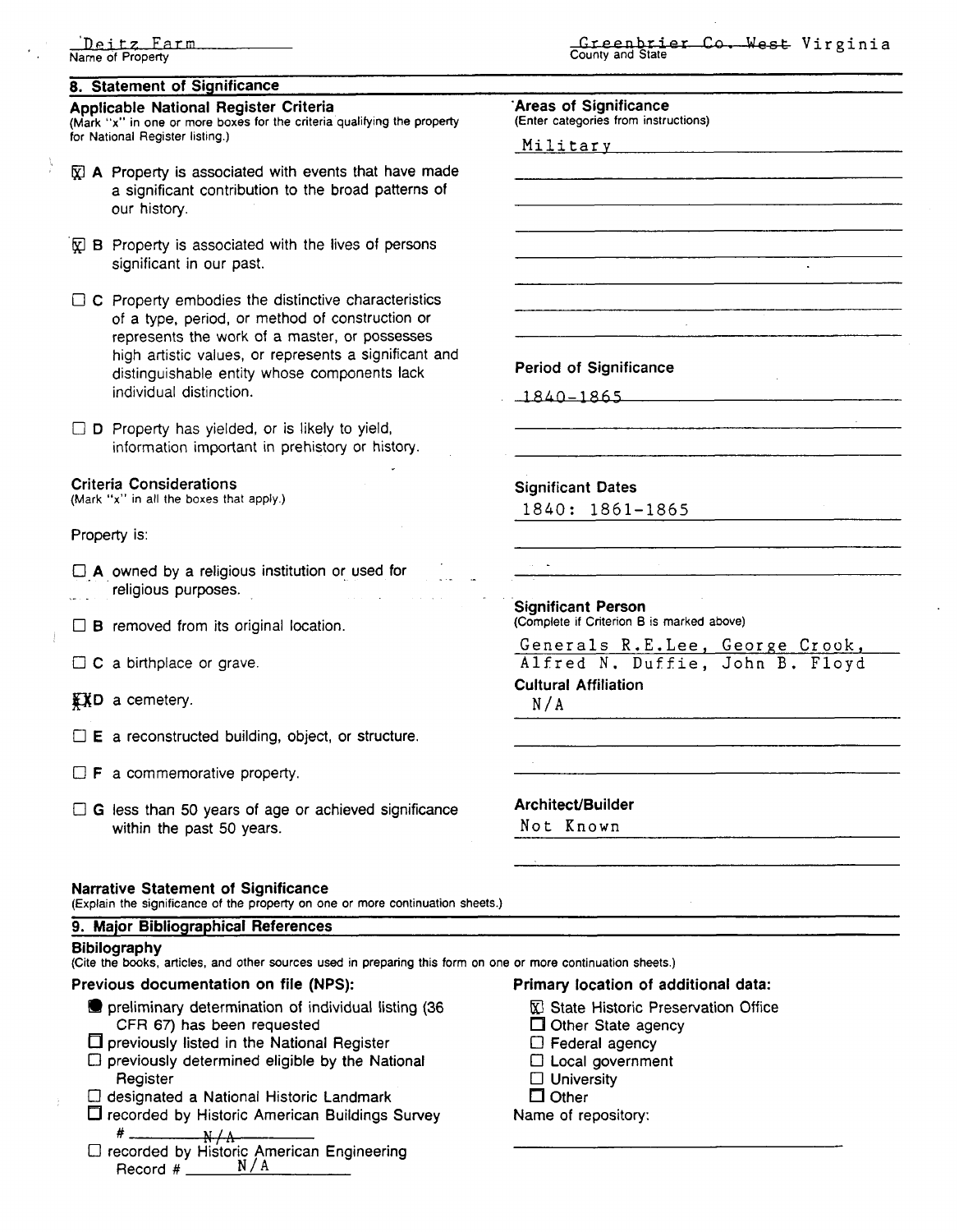## **8.** Statement of Significance

### Applicable National Register Criteria

**(Mark "x" in one or more boxes for the criteria qualifying the property for National Register listing.)** 

- $\bar{x}$  A Property is associated with events that have made a significant contribution to the broad patterns of our history.
- $\mathbb{R}$  B Property is associated with the lives of persons significant in our past.
- $\Box$  C Property embodies the distinctive characteristics of a type, period, or method of construction or represents the work of a master, or possesses high artistic values, or represents a significant and distinguishable entity whose components lack individual distinction.
- $\square$  D Property has yielded, or is likely to yield, information important in prehistory or history.

## Criteria Considerations

**(Mark "x" in all the boxes that apply.)** 

Property is:

 $\Box$  A owned by a religious institution or used for religious purposes.

 $\Box$  **B** removed from its original location.

□ **C** a birthplace or grave.

**EXD** a cemetery.

 $\Box$  E a reconstructed building, object, or structure.

 $\Box$  **F** a commemorative property.

 $\Box$  G less than 50 years of age or achieved significance within the past 50 years.

'Areas of Significance

**(Enter categories from instructions)** 

Mili **tar** v

Period of Significance

 $1840 - 1865$ 

Significant Dates

1840: 1861-1865

Significant Person **(Complete if Criterion B is marked above)** 

Generals R.E.Lee, George Crook, Alfred N. Duffie, John B. Floyd

Cultural Affiliation N/A

Architect/Builder

Not Known

### **Narrative Statement of Significance**

**(Explain the significance of the p;bperty on one or more continuation sheets.)** 

### **9.** Major Bibliographical References

### **Bibilography**

**(Cite the books, articles, and other sources used in preparing this form on one or more continuation sheets.)** 

### Previous documentation on file (NPS): Primary location of additional data:

- **P** preliminary determination of individual listing (36  $\Box$  State Historic Preservation Office<br>CFR 67) has been requested  $\Box$  Other State agency CFR 67) has been requested
- $\square$  previously listed in the National Register  $\square$  Federal agency<br>  $\square$  previously determined eligible by the National  $\square$  Local government
- $\Box$  previously listed in the National Hegister<br> $\Box$  previously determined eligible by the National  $\Box$  Local government reviously determined eligible by the National  $\Box$  Local gove<br>Register  $\Box$  University
- 
- 0 designated a National Historic Landmark Other  $\Box$  recorded by Historic American Buildings Survey
- # Alexandric American Engineering<br>□ recorded by Historic American Engineering Record # **N/A**

- 
- 
- 
- 
- 
- 

**Creenbrier Co. West Virginia** County and State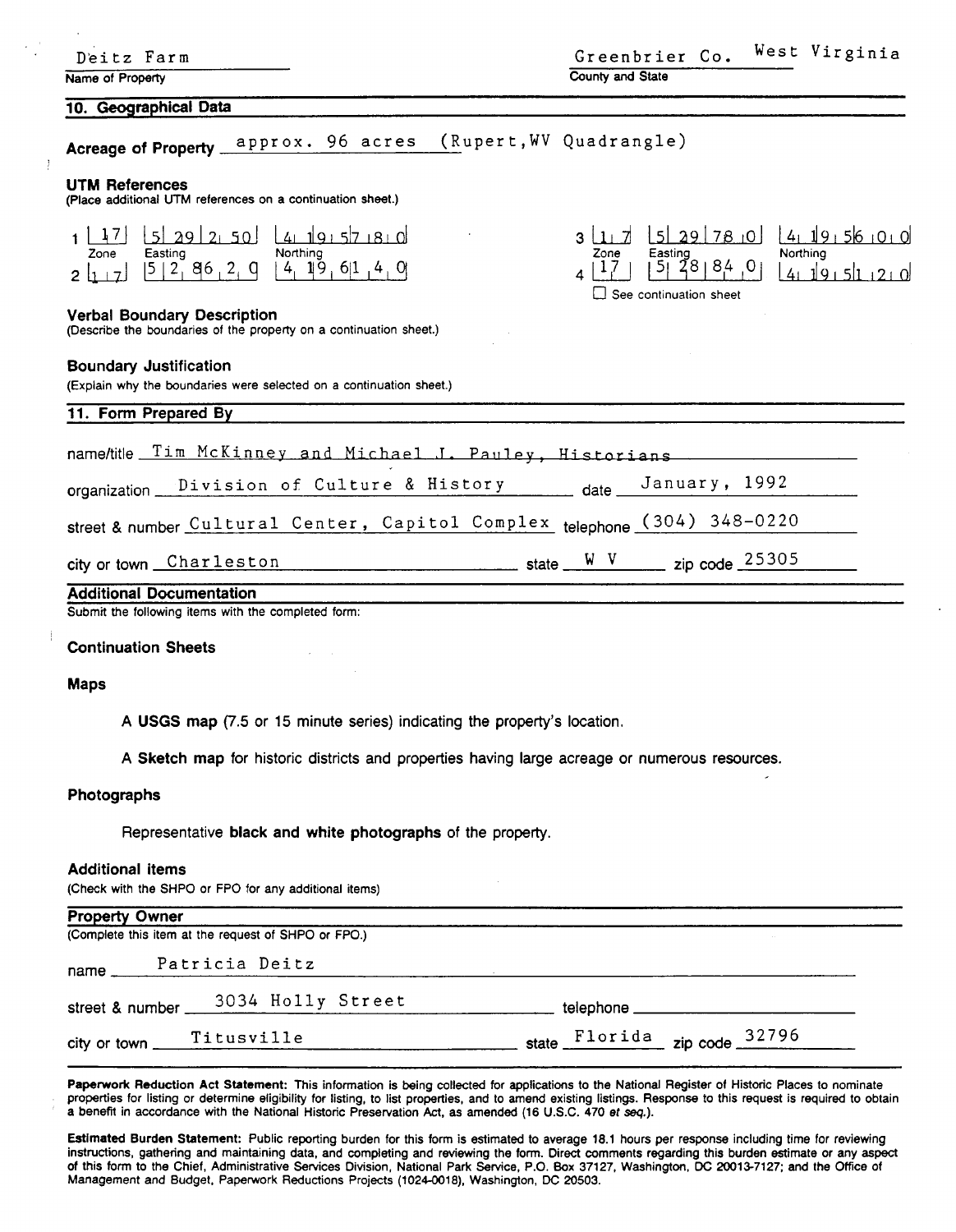| Deitz Farm                                                                                                    | West Virginia<br>Greenbrier Co.                                                                                                                                |
|---------------------------------------------------------------------------------------------------------------|----------------------------------------------------------------------------------------------------------------------------------------------------------------|
| Name of Property                                                                                              | County and State                                                                                                                                               |
| 10. Geographical Data                                                                                         |                                                                                                                                                                |
| approx. 96 acres (Rupert, WV Quadrangle)<br>Acreage of Property __                                            |                                                                                                                                                                |
| <b>UTM References</b><br>(Place additional UTM references on a continuation sheet.)                           |                                                                                                                                                                |
| 5 29 2 50 4 19 5 7 8 0<br>$-1, 7$<br>Easting<br>Northing<br>Zone<br>4, 19, 61, 4, 0<br> 5 2, 86 2, 9<br>2 1 7 | 141191561010<br>529780<br>$3 \lfloor 1 \rfloor$ . 7<br>Northing<br>Easting<br>Zone<br>5 28 84 0 <br>$\perp$<br>41191511210<br>$\square$ See continuation sheet |
| <b>Verbal Boundary Description</b><br>(Describe the boundaries of the property on a continuation sheet.)      |                                                                                                                                                                |
| <b>Boundary Justification</b><br>(Explain why the boundaries were selected on a continuation sheet.)          |                                                                                                                                                                |
| 11. Form Prepared By                                                                                          |                                                                                                                                                                |
| name/title Tim McKinney and Michael J. Pauley, Historians                                                     |                                                                                                                                                                |
| Division of Culture & History<br>organization _                                                               | January, 1992<br>date $\overline{\phantom{a}}$                                                                                                                 |
| street & number Cultural Center, Capitol Complex telephone (304) 348-0220                                     |                                                                                                                                                                |
| city or town Charleston                                                                                       | $\frac{W-V}{W}$ state $\frac{W-V}{W}$ zip code 25305                                                                                                           |
| <b>Additional Documentation</b><br>Submit the following items with the completed form:                        |                                                                                                                                                                |
| <b>Continuation Sheets</b>                                                                                    |                                                                                                                                                                |
| <b>Maps</b>                                                                                                   |                                                                                                                                                                |
| A USGS map (7.5 or 15 minute series) indicating the property's location.                                      |                                                                                                                                                                |
| A Sketch map for historic districts and properties having large acreage or numerous resources.                |                                                                                                                                                                |
| Photographs                                                                                                   |                                                                                                                                                                |
| Representative black and white photographs of the property.                                                   |                                                                                                                                                                |
| <b>Additional items</b><br>(Check with the SHPO or FPO for any additional items)                              |                                                                                                                                                                |
| <b>Property Owner</b>                                                                                         |                                                                                                                                                                |
| (Complete this item at the request of SHPO or FPO.)                                                           |                                                                                                                                                                |
| Patricia Deitz<br>name.                                                                                       |                                                                                                                                                                |
| 3034 Holly Street<br>street & number                                                                          | telenhone                                                                                                                                                      |

 $\cdot$ 

J.

street & number.

city or town Titusville state Florida zip code 32796

Paperwork Reduction Act Statement: This information is being collected for applications to the National Register of Historic Places to nominate properties for listing or determine eligibility for listing, to list properties, and to amend existing listings. Response to this request is required to obtain a benefit in accordance with the National Historic Preservation Act, as amended (16 U.S.C. 470 et **seq.).** 

telephone\_

Estimated Burden Statement: Public reporting burden for this form is estimated to average 18.1 hours per response including time for reviewing instructions, gathering and maintaining data, and completing and reviewing the form. Direct comments regarding this burden estimate or any aspect of this form to the Chief, Administrative Services Division, National Park Service, **P.O.** Box 37127, Washington, **DC** 20013-7127; and the Office of Management and Budget, Paperwork Reductions Projects (1024-0018), Washington, **DC** 20503.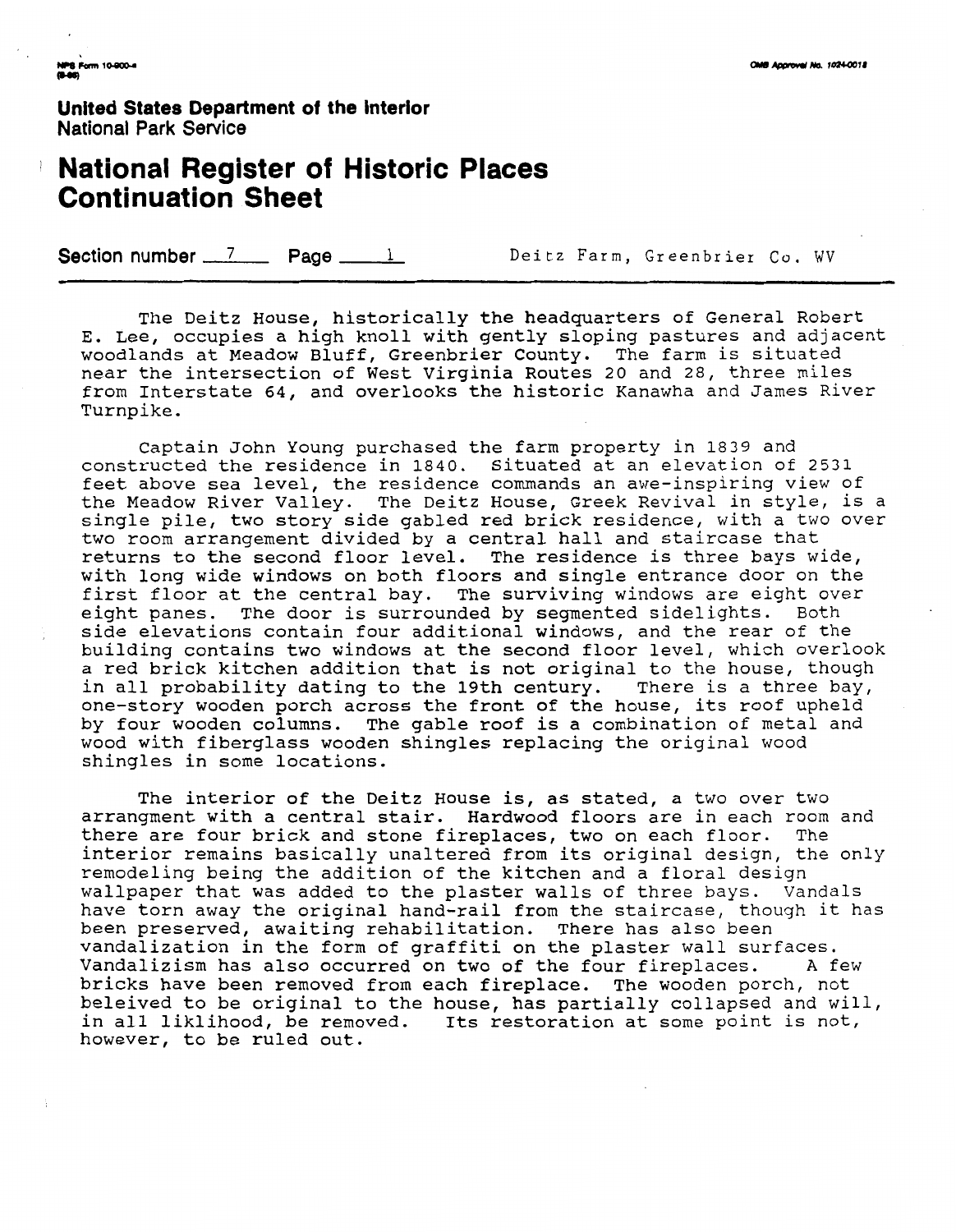**United States Department of the interior National Park Service** 

## **National Register of Historic Places Continuation Sheet**

**Section number 7 Page 1** Deitz Farm, Greenbrier Co. WV

The Deitz House, historically the headquarters of General Robert E. Lee, occupies a high knoll with gently sloping pastures and adjacent woodlands at Meadow Bluff, Greenbrier County. The farm is situated near the intersection of West Virginia Routes 20 and 28, three miles from Interstate 64, and overlooks the historic Kanawha and James River Turnpike.

Captain John Young purchased the farm property in 1839 and constructed the residence in 1840. Situated at an elevation of 2531 feet above sea level, the residence commands an awe-inspiring view of the Meadow River Valley. The Deitz House, Greek Revival in style, is a single pile, two story side gabled red brick residence, with a two over two room arrangement divided by a central hall and staircase that returns to the second floor level. The residence is three bays wide, with long wide windows on both floors and single entrance door on the first floor at the central bay. The surviving windows are eight over eight panes. The door is surrounded by segmented sidelights. Both side elevations contain four additional windows, and the rear of the building contains two windows at the second floor level, which overlook a red brick kitchen addition that is not original to the house, though in all probability dating to the 19th century. There is a three bay, one-story wooden porch across the front of the house, its roof upheld by four wooden columns. The gable roof is a combination of metal and wood with fiberglass wooden shingles replacing the original wood shingles in some locations.

The interior of the Deitz House is, as stated, a two over two arrangment with a central stair. Hardwood floors are in each room and there are four brick and stone fireplaces, two on each floor. The interior remains basically unaltered from its original design, the only remodeling being the addition of the kitchen and a floral design wallpaper that was added to the plaster walls of three bays. Vandals have torn away the original hand-rail from the staircase, though it has been preserved, awaiting rehabilitation. There has also been vandalization in the form of graffiti on the plaster wall surfaces. Vandalizism has also occurred on two of the four fireplaces. A few bricks have been removed from each fireplace. The wooden porch, not beleived to be original to the house, has partially collapsed and will, in all liklihood, be removed. Its restoration at some point is not, however, to be ruled out.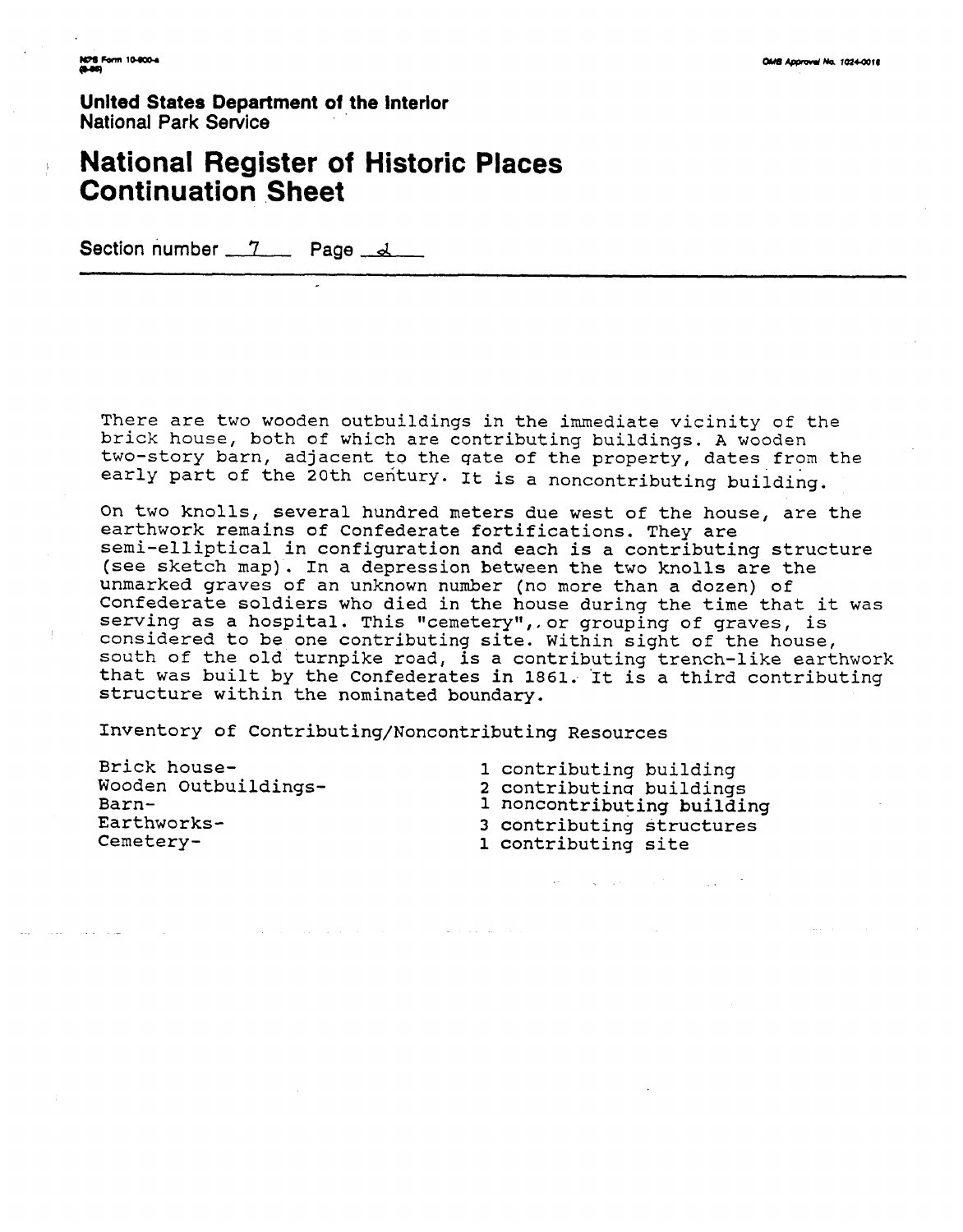**Unlted States Department of the Interior National Park Service** 

## **National Register of Historic Places Continuation Sheet**

**Section number** '7 **Page d** 

There are two wooden outbuildings in the immediate vicinity of the brick house, both of which are contributinq buildings. **A** wooden two-story barn, adjacent to the qate of the property, dates from the early part of the 20th century. It is a noncontributing building.

On two knolls, several hundred meters due west of the house, are the earthwork remains of Confederate fortifications. They are semi-elliptical in configuration and each is a contributing structure (see sketch map). In a depression between the two knolls are the unmarked graves of an unknown number (no more than a dozen) of Confederate soldiers who died in the house during the time that it was serving as a hospital. This "cemetery", or grouping of graves, is considered to be one contributing site. Within sight of the house, south of the old turnpike road, is a contributing trench-like earthwork that was built by the Confederates in 1861. It is a third contributing structure within the nominated boundary.

والمناسب فتواصلهم والمتحدث

Inventory of Contributing/Noncontributing Resources

Brick house-Wooden outbuildings-Barn-Earthworks-Cemetery1 contributing building **2** contributinq buildings 1 noncontributing building 3 contributing structures 1 contributing site

 $\mathcal{H}^{\mathcal{A}}$  and  $\mathcal{A}^{\mathcal{A}}$  are the set of the set of the set of  $\mathcal{A}$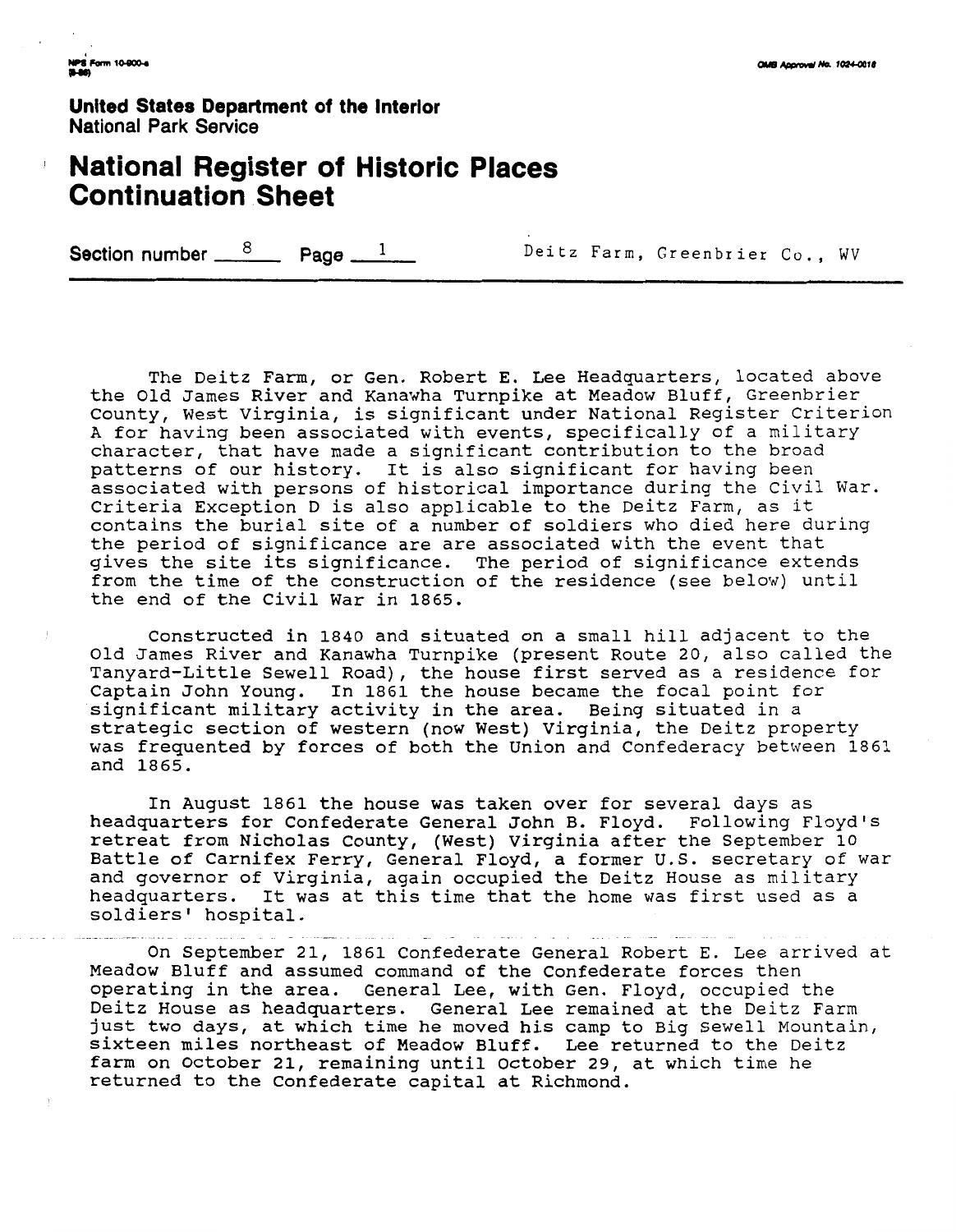**United States Department of the interlor National Park Service** 

# <sup>I</sup>**National Register of Historic Places Continuation Sheet**

Section number  $\frac{8}{2}$  Page  $\frac{1}{2}$  Deitz Farm, Greenbrier Co., WV

The Deitz Farm, or Gen. Robert E. Lee Headquarters, located above the Old James River and Kanawha Turnpike at Meadow Bluff, Greenbrier County, West Virginia, is significant under National Register Criterion **A** for having been associated with events, specifically of a military character, that have made a significant contribution to the broad patterns of our history. It is also significant for having been associated with persons of historical importance during the Civil War. Criteria Exception D is also applicable to the Deitz Farm, as it contains the burial site of a number of soldiers who died here during the period of significance are are associated with the event that gives the site its significance. The period of significance extends from the time of the construction of the residence (see below) until the end of the Civil War in 1865.

Constructed in 1840 and situated on a small hill adjacent to the Old James River and Kanawha Turnpike (present Route 20, also called the Tanyard-Little Sewell Road), the house first served as a residence for Captain John Young. In 1861 the house became the focal point for significant military activity in the area. Being situated in a strategic section of western (now West) Virginia, the Deitz property was frequented by forces of both the Union and Confederacy between 1861 and 1865.

In August 1861 the house was taken over for several days as headquarters for Confederate General John B. Floyd. Following Floyd's retreat from Nicholas County, (West) Virginia after the September 10 Battle of Carnifex Ferry, General Floyd, a former U.S. secretary of war and governor of Virginia, again occupied the Deitz House as military headquarters. It was at this time that the home was first used as a soldiers' hospital.

On September 21, 1861 Confederate General Robert E. Lee arrived at Meadow Bluff and assumed command of the Confederate forces then operating in the area. General Lee, with Gen. Floyd, occupied the Deitz House as headquarters. General Lee remained at the Deitz Farm just two days, at which time he moved his camp to Big Sewell Mountain, sixteen miles northeast of Meadow Bluff. Lee returned to the Deitz farm on October 21, remaining until October 29, at which time he returned to the Confederate capital at Richmond.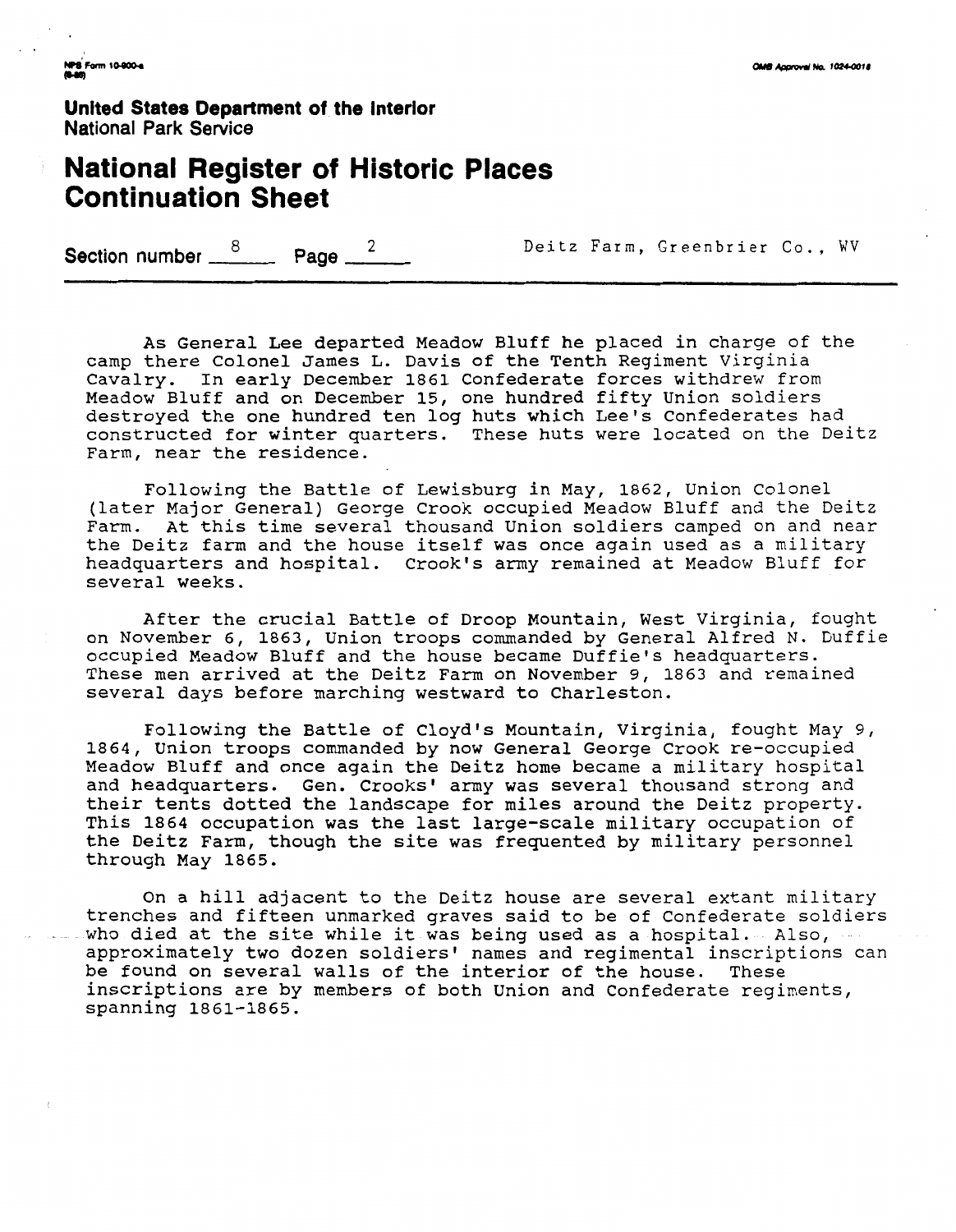**United States Department of the Interior National Park Service** 

## **National Register of Historic Places Continuation Sheet**

Section number  $\frac{8}{2}$  **Page**  $\frac{2}{2}$  **Deitz Farm, Greenbrier Co., WV** 

As General Lee departed Meadow Bluff he placed in charge of the camp there Colonel James L. Davis of the Tenth Regiment Virginia Cavalry. In early December 1861 Confederate forces withdrew from Meadow Bluff and on December 15, one hundred fifty Union soldiers destroyed the one hundred ten log huts which Lee's Confederates had constructed for winter quarters. These huts were located on the Deitz Farm, near the residence.

Following the Battle of Lewisburg in May, 1862, Union Colonel (later Major General) George Crook occupied Meadow Bluff and the Deitz Farm. At this time several thousand Union soldiers camped on and near the Deitz farm and the house itself was once again used as a military headquarters and hospital. Crook's army remained at Meadow Bluff for several weeks.

After the crucial Battle of Droop Mountain, West Virginia, fought on November 6, 1863, union troops commanded by General Alfred N. Duffie occupied Meadow Bluff and the house became Duffiels headquarters. These men arrived at the Deitz Farm on November 9, 1863 and remained several days before marching westward to Charleston.

Following the Battle of Cloyd's Mountain, Virginia, fought May 9, 1864, Union troops commanded by now General George Crook re-occupied Meadow Bluff and once again the Deitz home became a military hospital and headquarters. Gen. Crooks' army was several thousand strong and their tents dotted the landscape for miles around the Deitz property. This 1864 occupation was the last large-scale military occupation of the Deitz Farm, though the site was frequented by military personnel through May 1865.

On a hill adjacent to the Deitz house are several extant military trenches and fifteen unmarked graves said to be of Confederate soldiers who died at the site while it was being used as a hospital. Also, approximately two dozen soldiers' names and regimental inscriptions can be found on several walls of the interior of the house. These inscriptions are by members of both Union and Confederate regiments, spanning 1861-1865.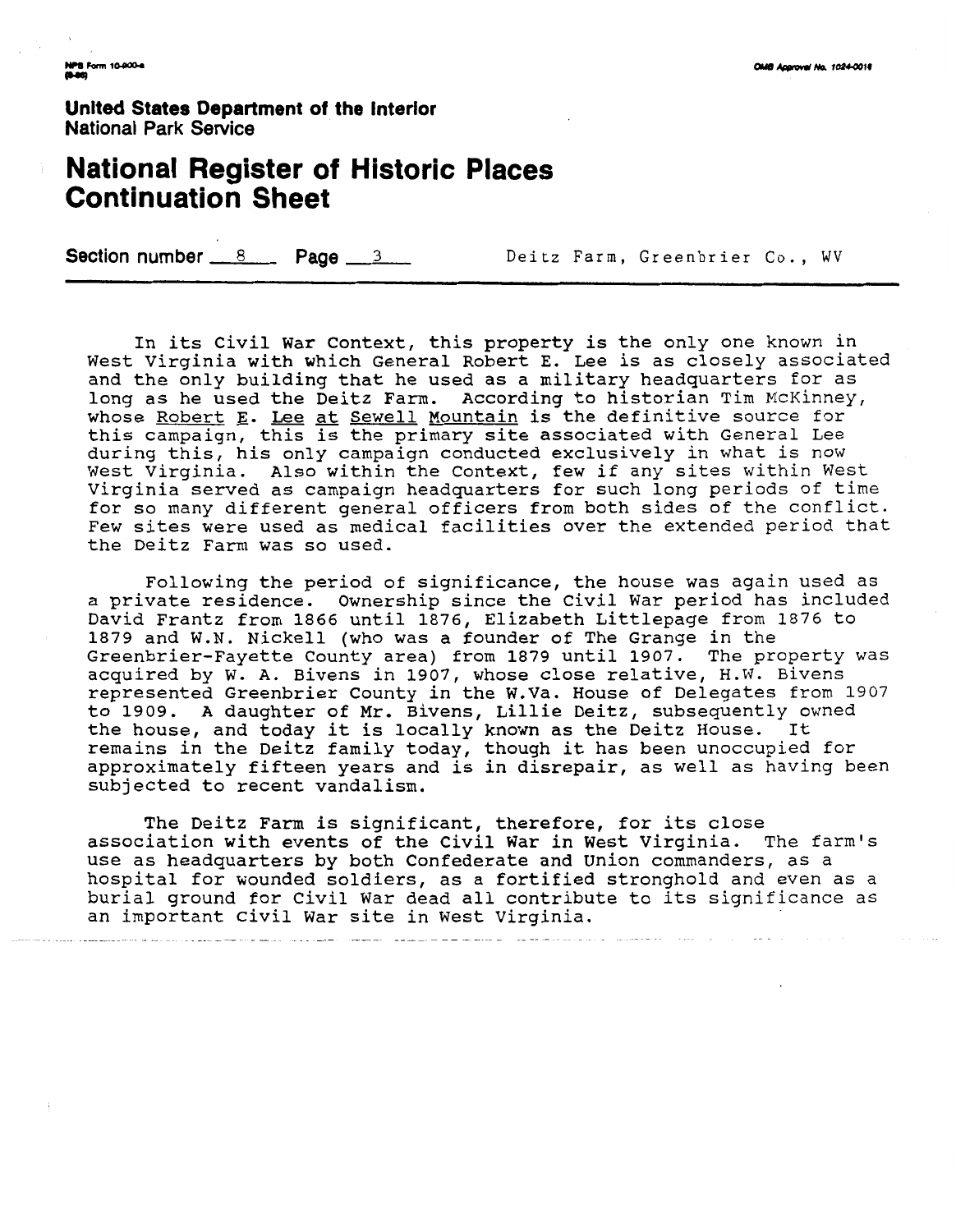**United States Department of the Interior** National Park **Service** 

# **National Register of Historic Places Continuation Sheet**

**Section number 8 8 Page 3 8 Deitz Farm, Greenbrier Co., WV** 

In its Civil War Context, this property is the only one known in West Virginia with which General Robert E. Lee is as closely associated and the only building that he used as a military headquarters for as long as he used the Deitz Farm. According to historian Tim McKinney, whose Robert E. Lee at Sewell Mountain is the definitive source for this campaign, this is the primary site associated with General Lee during this, his only campaign conducted exclusively in what is now West Virginia. Also within the Context, few if any sites within West Virginia served as campaign headquarters for such long periods of time for so many different general officers from both sides of the conflict. Few sites were used as medical facilities over the extended period that the Deitz Farm was so used.

Following the period of significance, the house was again used as a private residence. Ownership since the Civil War period has included David Frantz from 1866 until 1876, Elizabeth Littlepage from 1876 to 1879 and W.N. Nickel1 (who was a founder of The Grange in the Greenbrier-Fayette County area) from 1879 until 1907. The property was acquired by W. A. Bivens in 1907, whose close relative, H.W. Bivens represented Greenbrier County in the W.Va. House of Delegates from 1907 to 1909. A daughter of Mr. Bivens, Lillie Deitz, subsequently owned the house, and today it is locally known as the Deitz House. It remains in the Deitz family today, though it has been unoccupied for approximately fifteen years and is in disrepair, as well as having been subjected to recent vandalism.

The Deitz Farm is significant, therefore, for its close association with events of the Civil War in West Virginia. The farm's use as headquarters by both Confederate and Union commanders, as a hospital for wounded soldiers, as a fortified stronghold and even as a burial ground for civil War dead all contribute to its significance as an important Civil War site in West Virginia.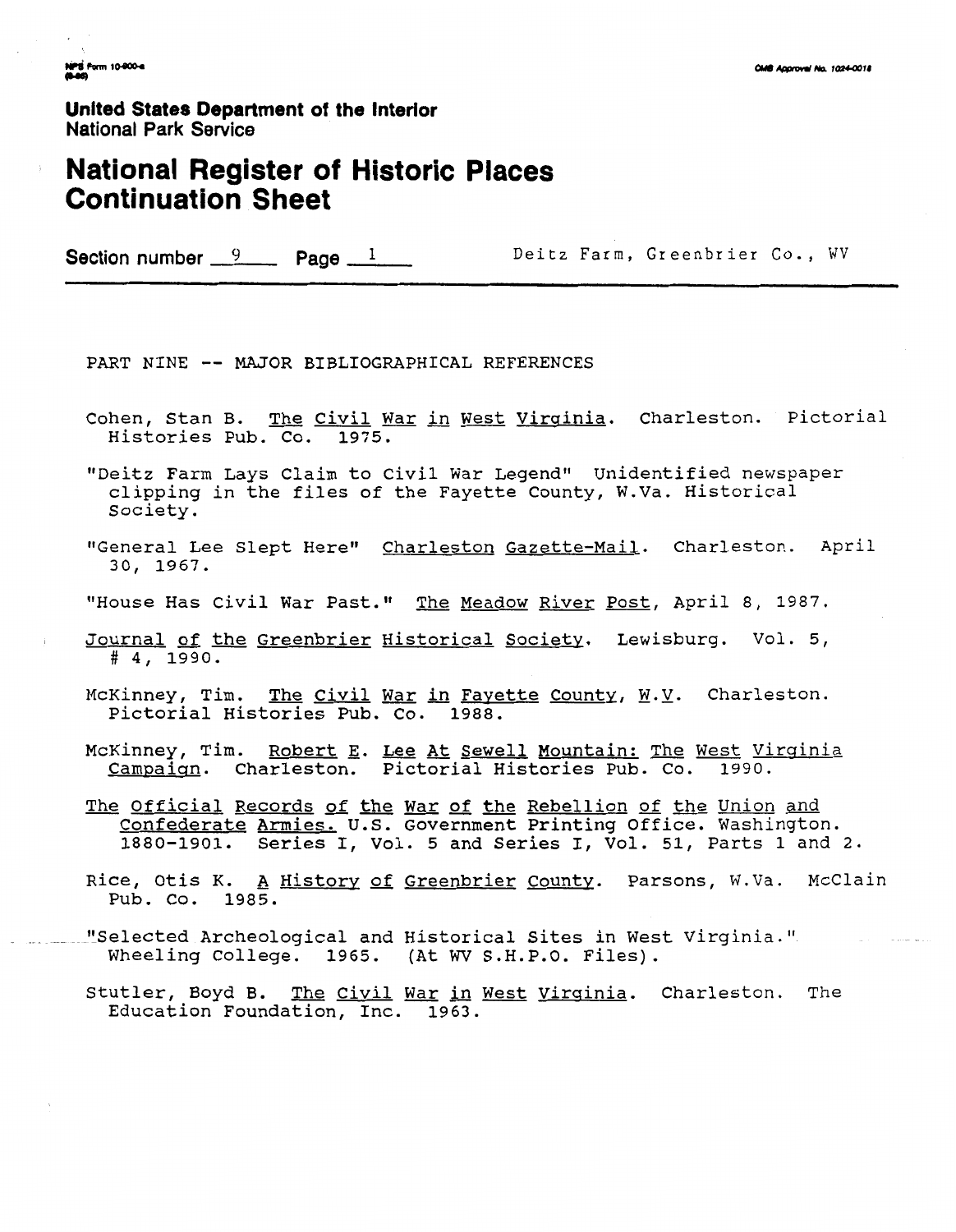**United States Department of the Interior National Park Senrice** 

## **National Register of Historic Places Continuation Sheet**

Section number 9 **Page 1 Deitz Farm, Greenbrier Co., WV** 

PART NINE -- MAJOR BIBLIOGRAPHICAL REFERENCES

Cohen, Stan B. The Civil War in West Virginia. Charleston. Pictorial Histories Pub. Co. 1975.

"Deitz Farm Lays Claim to Civil War Legend" Unidentified newspaper clipping in the files of the Fayette County, W.Va. Historical Society.

- "General Lee Slept Here" Charleston Gazette-Mail. Charleston. April 30, 1967.
- "House Has Civil War Past." The Meadow River Post, April 8, 1987.
- Journal of the Greenbrier Historical Society. Lewisburg. Vol. 5, # 4, 1990.
- McKinney, Tim. The Civil War **in** Favette Countv, **W.Y.** Charleston. Pictorial Histories Pub. Co. 1988.
- McKinney, Tim. Robert E. Lee At Sewell Mountain: The West Virginia Campaign. Charleston. Pictorial Histories Pub. Co. 1990.
- The Official Records of the War of the Rebellion of the Union **and**  Confederate Armies. U.S. Government Printing office. Washington. 1880-1901. Series I, Vol. **5** and series I, Vol. 51, Parts 1 and 2.
- Rice, Otis K. A History of Greenbrier County. Parsons, W.Va. McClain Pub. Co. 1985.
- -. "Selected Archeological and Historical Sites in West ~irginia." elected Archeological and Historical Sites in West<br>Wheeling College. 1965. (At WV S.H.P.O. Files).
	- Stutler, Boyd B. The Civil War in West Virginia. Charleston. The Education Foundation, Inc. 1963.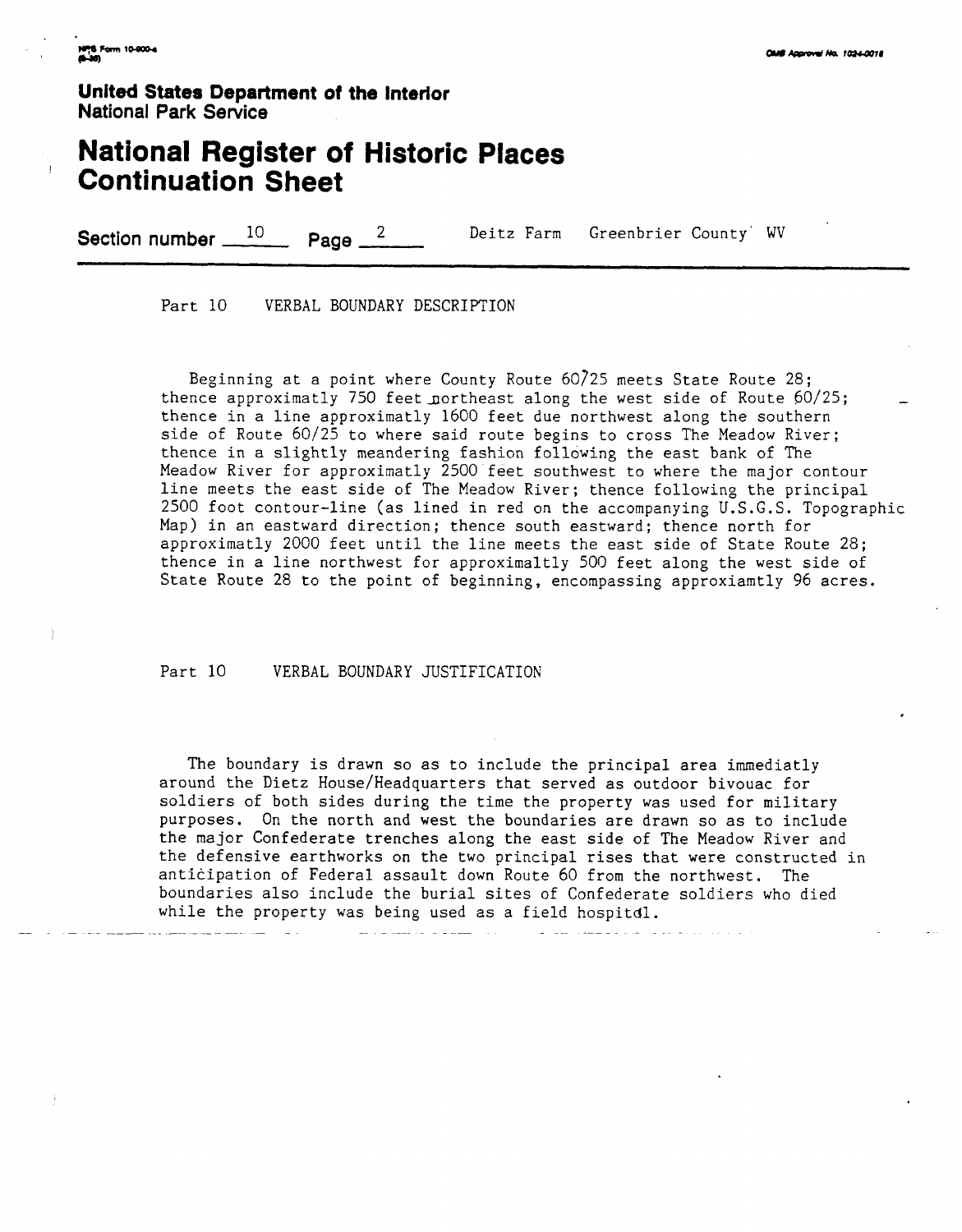**United States Department of the Interior National Park Service** 

## **National Register of Historic Places**  <sup>I</sup>**Continuation Sheet**

**Section number 10 Page 2** Deitz Farm Greenbrier County' WV

Part 10 VERBAL BOUNDARY DESCRIPTION

Beginning at a point where County Route 60/25 meets State Route 28; thence approximatly 750 feet northeast along the west side of Route  $60/25$ ; thence in a line approximatly 1600 feet due northwest along the southern side of Route 60/25 to where said route begins to cross The Meadow River; thence in a slightly meandering fashion following the east bank of The Meadow River for approximatly 2500 feet southwest to where the major contour line meets the east side of The Meadow River; thence following the principal 2500 foot contour-line (as lined in red on the accompanying U.S.G.S. Topographic Map) in an eastward direction; thence south eastward; thence north for approximatly 2000 feet until the line meets the east side of State Route 28; thence in a line northwest for approximaltly 500 feet along the west side of State Route 28 to the point of beginning, encompassing approxiamtly 96 acres.

Part 10 VERBAL BOUNDARY JUSTIFICATION

 $\sim$   $\sim$ 

The boundary is drawn so as to include the principal area immediatly around the Dietz House/Headquarters that served as outdoor bivouac for soldiers of both sides during the time the property was used for military purposes. On the north and west the boundaries are drawn so as to include the major Confederate trenches along the east side of The Meadow River and the defensive earthworks on the two principal rises that were constructed in anticipation of Federal assault down Route 60 from the northwest. The boundaries also include the burial sites of Confederate soldiers who died while the property was being used as a field hospitdl.

المناط المتعمل العاقر الفراد

<u>and the company of the management</u> of the co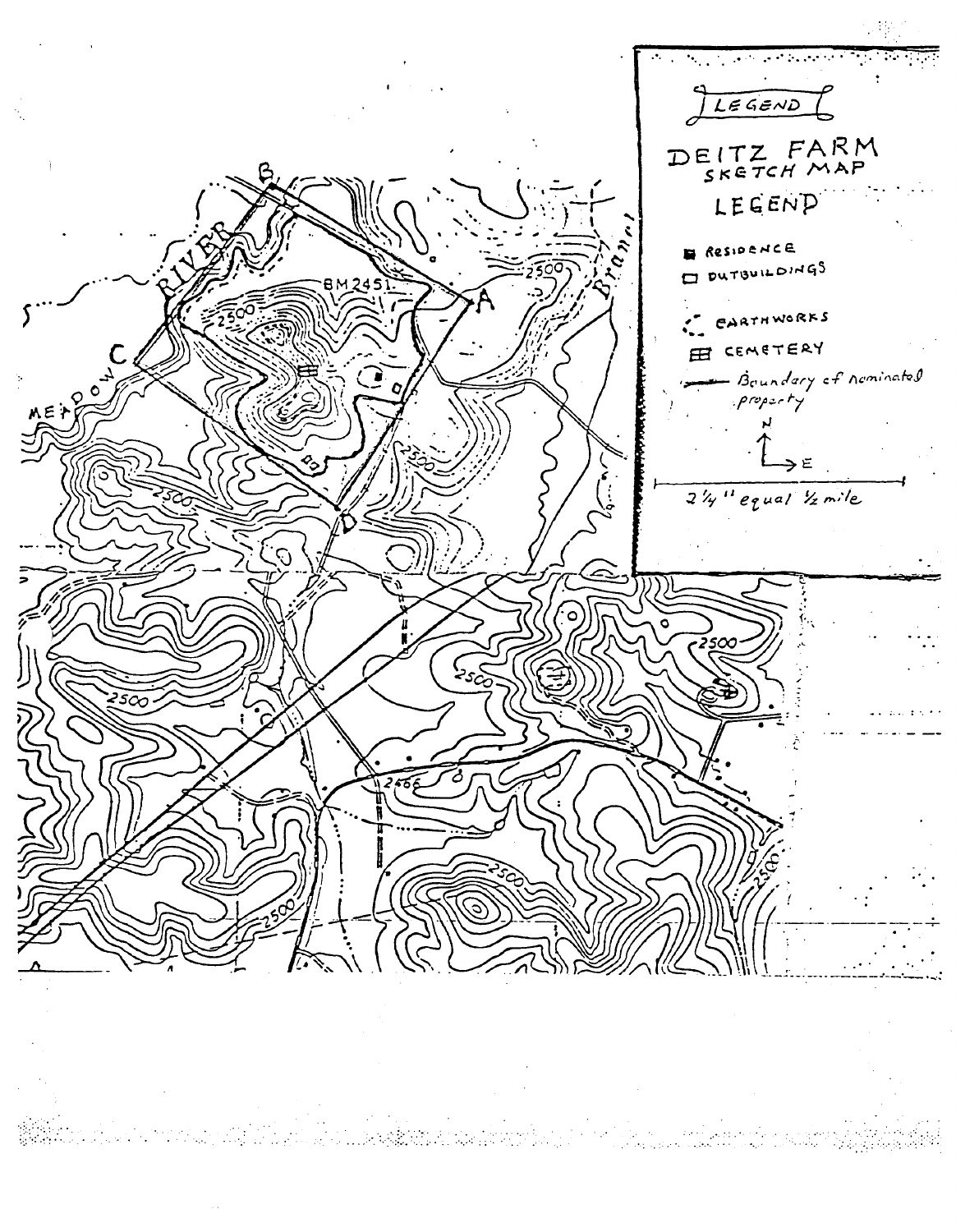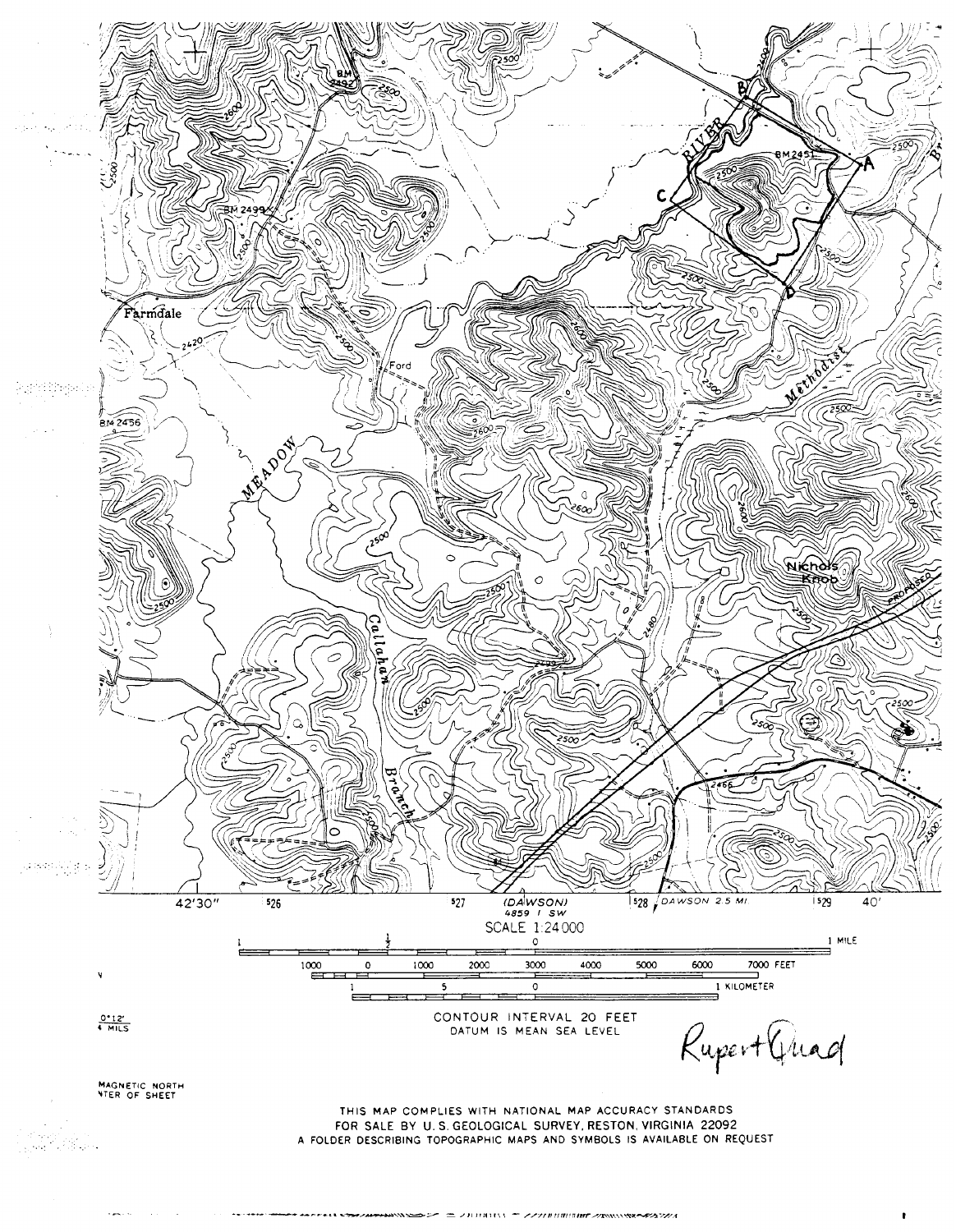